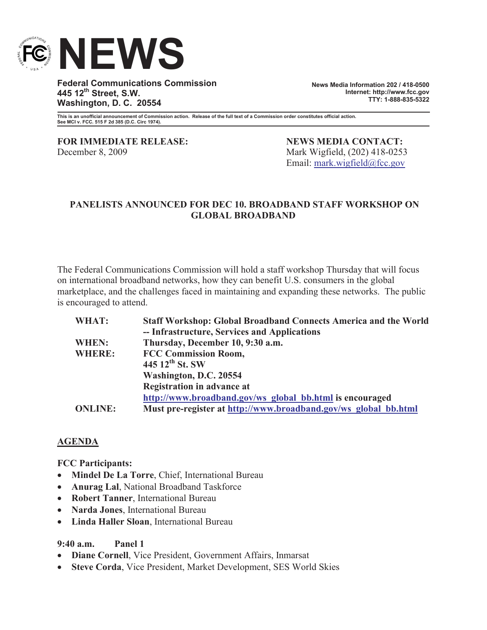

**Federal Communications Commission 445 12th Street, S.W. Washington, D. C. 20554**

**News Media Information 202 / 418-0500 Internet: http://www.fcc.gov TTY: 1-888-835-5322**

**This is an unofficial announcement of Commission action. Release of the full text of a Commission order constitutes official action. See MCI v. FCC. 515 F 2d 385 (D.C. Circ 1974).**

**FOR IMMEDIATE RELEASE: NEWS MEDIA CONTACT:** December 8, 2009 Mark Wigfield, (202) 418-0253

Email: mark.wigfield@fcc.gov

## **PANELISTS ANNOUNCED FOR DEC 10. BROADBAND STAFF WORKSHOP ON GLOBAL BROADBAND**

The Federal Communications Commission will hold a staff workshop Thursday that will focus on international broadband networks, how they can benefit U.S. consumers in the global marketplace, and the challenges faced in maintaining and expanding these networks. The public is encouraged to attend.

| <b>Staff Workshop: Global Broadband Connects America and the World</b> |
|------------------------------------------------------------------------|
| -- Infrastructure, Services and Applications                           |
| Thursday, December 10, 9:30 a.m.                                       |
| <b>FCC Commission Room,</b>                                            |
| 445 $12^{th}$ St. SW                                                   |
| Washington, D.C. 20554                                                 |
| <b>Registration in advance at</b>                                      |
| http://www.broadband.gov/ws global bb.html is encouraged               |
| Must pre-register at http://www.broadband.gov/ws_global_bb.html        |
|                                                                        |

## **AGENDA**

**FCC Participants:**

- · **Mindel De La Torre**, Chief, International Bureau
- · **Anurag Lal**, National Broadband Taskforce
- · **Robert Tanner**, International Bureau
- · **Narda Jones**, International Bureau
- · **Linda Haller Sloan**, International Bureau

## **9:40 a.m. Panel 1**

- · **Diane Cornell**, Vice President, Government Affairs, Inmarsat
- · **Steve Corda**, Vice President, Market Development, SES World Skies